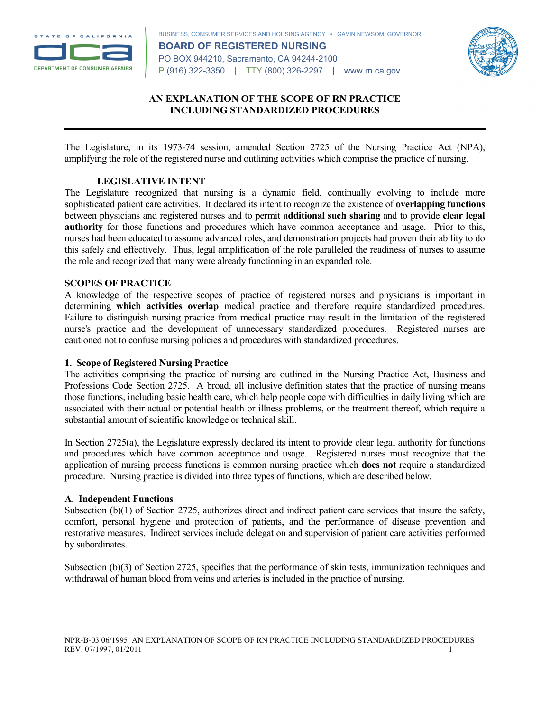

BUSINESS, CONSUMER SERVICES AND HOUSING AGENCY • GAVIN NEWSOM, GOVERNOR **BOARD OF REGISTERED NURSING** PO BOX 944210, Sacramento, CA 94244-2100 P (916) 322-3350 | TTY (800) 326-2297 | www.rn.ca.gov



# **AN EXPLANATION OF THE SCOPE OF RN PRACTICE INCLUDING STANDARDIZED PROCEDURES**

The Legislature, in its 1973-74 session, amended Section 2725 of the Nursing Practice Act (NPA), amplifying the role of the registered nurse and outlining activities which comprise the practice of nursing.

### **LEGISLATIVE INTENT**

The Legislature recognized that nursing is a dynamic field, continually evolving to include more sophisticated patient care activities. It declared its intent to recognize the existence of **overlapping functions** between physicians and registered nurses and to permit **additional such sharing** and to provide **clear legal authority** for those functions and procedures which have common acceptance and usage. Prior to this, nurses had been educated to assume advanced roles, and demonstration projects had proven their ability to do this safely and effectively. Thus, legal amplification of the role paralleled the readiness of nurses to assume the role and recognized that many were already functioning in an expanded role.

### **SCOPES OF PRACTICE**

A knowledge of the respective scopes of practice of registered nurses and physicians is important in determining **which activities overlap** medical practice and therefore require standardized procedures. Failure to distinguish nursing practice from medical practice may result in the limitation of the registered nurse's practice and the development of unnecessary standardized procedures. Registered nurses are cautioned not to confuse nursing policies and procedures with standardized procedures.

### **1. Scope of Registered Nursing Practice**

The activities comprising the practice of nursing are outlined in the Nursing Practice Act, Business and Professions Code Section 2725. A broad, all inclusive definition states that the practice of nursing means those functions, including basic health care, which help people cope with difficulties in daily living which are associated with their actual or potential health or illness problems, or the treatment thereof, which require a substantial amount of scientific knowledge or technical skill.

In Section 2725(a), the Legislature expressly declared its intent to provide clear legal authority for functions and procedures which have common acceptance and usage. Registered nurses must recognize that the application of nursing process functions is common nursing practice which **does not** require a standardized procedure. Nursing practice is divided into three types of functions, which are described below.

### **A. Independent Functions**

Subsection (b)(1) of Section 2725, authorizes direct and indirect patient care services that insure the safety, comfort, personal hygiene and protection of patients, and the performance of disease prevention and restorative measures. Indirect services include delegation and supervision of patient care activities performed by subordinates.

Subsection (b)(3) of Section 2725, specifies that the performance of skin tests, immunization techniques and withdrawal of human blood from veins and arteries is included in the practice of nursing.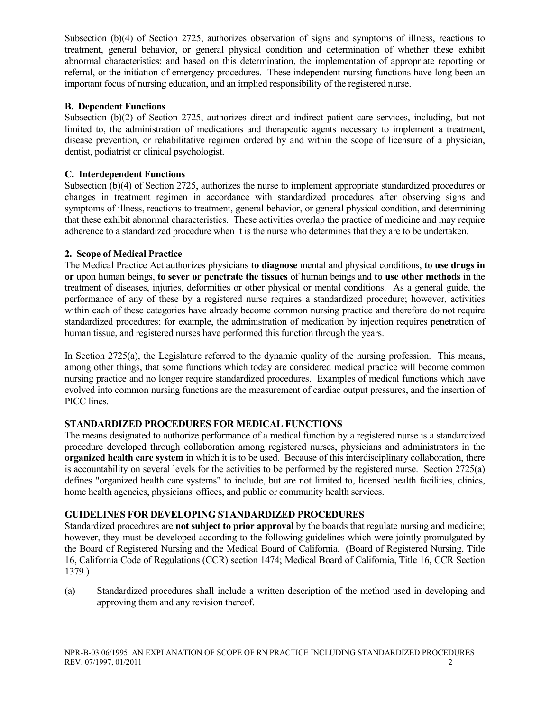Subsection (b)(4) of Section 2725, authorizes observation of signs and symptoms of illness, reactions to treatment, general behavior, or general physical condition and determination of whether these exhibit abnormal characteristics; and based on this determination, the implementation of appropriate reporting or referral, or the initiation of emergency procedures. These independent nursing functions have long been an important focus of nursing education, and an implied responsibility of the registered nurse.

## **B. Dependent Functions**

Subsection (b)(2) of Section 2725, authorizes direct and indirect patient care services, including, but not limited to, the administration of medications and therapeutic agents necessary to implement a treatment, disease prevention, or rehabilitative regimen ordered by and within the scope of licensure of a physician, dentist, podiatrist or clinical psychologist.

### **C. Interdependent Functions**

Subsection (b)(4) of Section 2725, authorizes the nurse to implement appropriate standardized procedures or changes in treatment regimen in accordance with standardized procedures after observing signs and symptoms of illness, reactions to treatment, general behavior, or general physical condition, and determining that these exhibit abnormal characteristics. These activities overlap the practice of medicine and may require adherence to a standardized procedure when it is the nurse who determines that they are to be undertaken.

### **2. Scope of Medical Practice**

The Medical Practice Act authorizes physicians **to diagnose** mental and physical conditions, **to use drugs in or** upon human beings, **to sever or penetrate the tissues** of human beings and **to use other methods** in the treatment of diseases, injuries, deformities or other physical or mental conditions. As a general guide, the performance of any of these by a registered nurse requires a standardized procedure; however, activities within each of these categories have already become common nursing practice and therefore do not require standardized procedures; for example, the administration of medication by injection requires penetration of human tissue, and registered nurses have performed this function through the years.

In Section 2725(a), the Legislature referred to the dynamic quality of the nursing profession. This means, among other things, that some functions which today are considered medical practice will become common nursing practice and no longer require standardized procedures. Examples of medical functions which have evolved into common nursing functions are the measurement of cardiac output pressures, and the insertion of PICC lines.

### **STANDARDIZED PROCEDURES FOR MEDICAL FUNCTIONS**

The means designated to authorize performance of a medical function by a registered nurse is a standardized procedure developed through collaboration among registered nurses, physicians and administrators in the **organized health care system** in which it is to be used. Because of this interdisciplinary collaboration, there is accountability on several levels for the activities to be performed by the registered nurse. Section 2725(a) defines "organized health care systems" to include, but are not limited to, licensed health facilities, clinics, home health agencies, physicians' offices, and public or community health services.

### **GUIDELINES FOR DEVELOPING STANDARDIZED PROCEDURES**

Standardized procedures are **not subject to prior approval** by the boards that regulate nursing and medicine; however, they must be developed according to the following guidelines which were jointly promulgated by the Board of Registered Nursing and the Medical Board of California. (Board of Registered Nursing, Title 16, California Code of Regulations (CCR) section 1474; Medical Board of California, Title 16, CCR Section 1379.)

(a) Standardized procedures shall include a written description of the method used in developing and approving them and any revision thereof.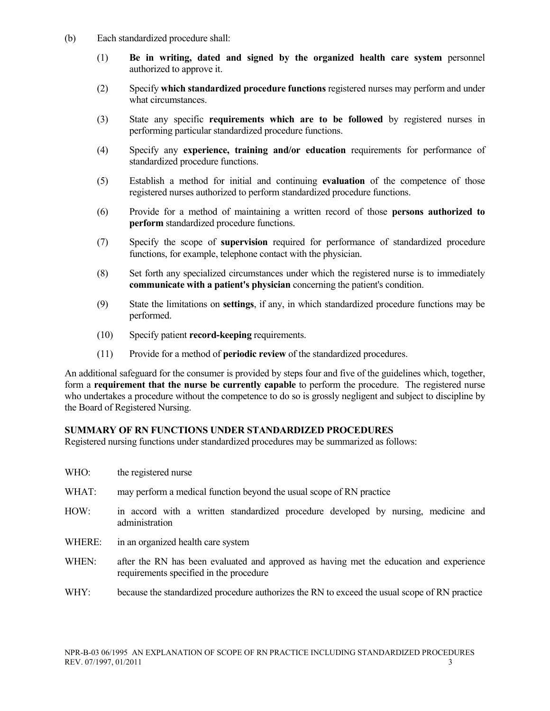- (b) Each standardized procedure shall:
	- (1) **Be in writing, dated and signed by the organized health care system** personnel authorized to approve it.
	- (2) Specify **which standardized procedure functions** registered nurses may perform and under what circumstances.
	- (3) State any specific **requirements which are to be followed** by registered nurses in performing particular standardized procedure functions.
	- (4) Specify any **experience, training and/or education** requirements for performance of standardized procedure functions.
	- (5) Establish a method for initial and continuing **evaluation** of the competence of those registered nurses authorized to perform standardized procedure functions.
	- (6) Provide for a method of maintaining a written record of those **persons authorized to perform** standardized procedure functions.
	- (7) Specify the scope of **supervision** required for performance of standardized procedure functions, for example, telephone contact with the physician.
	- (8) Set forth any specialized circumstances under which the registered nurse is to immediately **communicate with a patient's physician** concerning the patient's condition.
	- (9) State the limitations on **settings**, if any, in which standardized procedure functions may be performed.
	- (10) Specify patient **record-keeping** requirements.
	- (11) Provide for a method of **periodic review** of the standardized procedures.

An additional safeguard for the consumer is provided by steps four and five of the guidelines which, together, form a **requirement that the nurse be currently capable** to perform the procedure. The registered nurse who undertakes a procedure without the competence to do so is grossly negligent and subject to discipline by the Board of Registered Nursing.

### **SUMMARY OF RN FUNCTIONS UNDER STANDARDIZED PROCEDURES**

Registered nursing functions under standardized procedures may be summarized as follows:

| WHO:   | the registered nurse                                                                                                               |
|--------|------------------------------------------------------------------------------------------------------------------------------------|
| WHAT:  | may perform a medical function beyond the usual scope of RN practice                                                               |
| HOW:   | in accord with a written standardized procedure developed by nursing, medicine and<br>administration                               |
| WHERE: | in an organized health care system                                                                                                 |
| WHEN:  | after the RN has been evaluated and approved as having met the education and experience<br>requirements specified in the procedure |

WHY: because the standardized procedure authorizes the RN to exceed the usual scope of RN practice